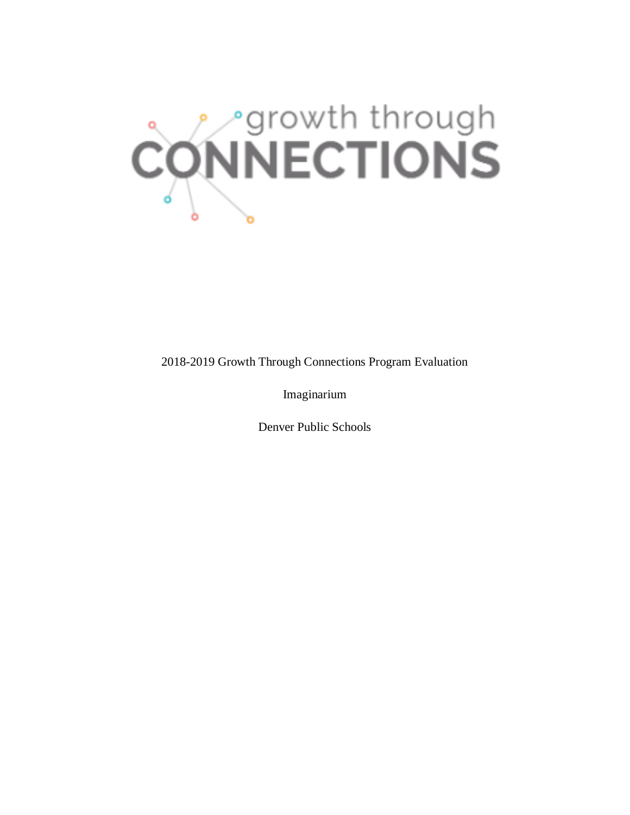

2018-2019 Growth Through Connections Program Evaluation

Imaginarium

Denver Public Schools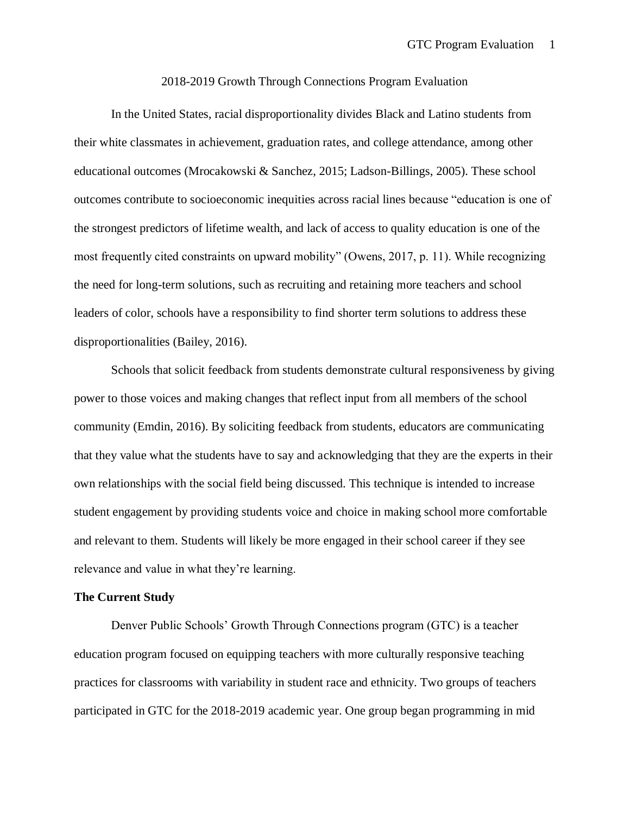### 2018-2019 Growth Through Connections Program Evaluation

In the United States, racial disproportionality divides Black and Latino students from their white classmates in achievement, graduation rates, and college attendance, among other educational outcomes (Mrocakowski & Sanchez, 2015; Ladson-Billings, 2005). These school outcomes contribute to socioeconomic inequities across racial lines because "education is one of the strongest predictors of lifetime wealth, and lack of access to quality education is one of the most frequently cited constraints on upward mobility" (Owens, 2017, p. 11). While recognizing the need for long-term solutions, such as recruiting and retaining more teachers and school leaders of color, schools have a responsibility to find shorter term solutions to address these disproportionalities (Bailey, 2016).

Schools that solicit feedback from students demonstrate cultural responsiveness by giving power to those voices and making changes that reflect input from all members of the school community (Emdin, 2016). By soliciting feedback from students, educators are communicating that they value what the students have to say and acknowledging that they are the experts in their own relationships with the social field being discussed. This technique is intended to increase student engagement by providing students voice and choice in making school more comfortable and relevant to them. Students will likely be more engaged in their school career if they see relevance and value in what they're learning.

## **The Current Study**

Denver Public Schools' Growth Through Connections program (GTC) is a teacher education program focused on equipping teachers with more culturally responsive teaching practices for classrooms with variability in student race and ethnicity. Two groups of teachers participated in GTC for the 2018-2019 academic year. One group began programming in mid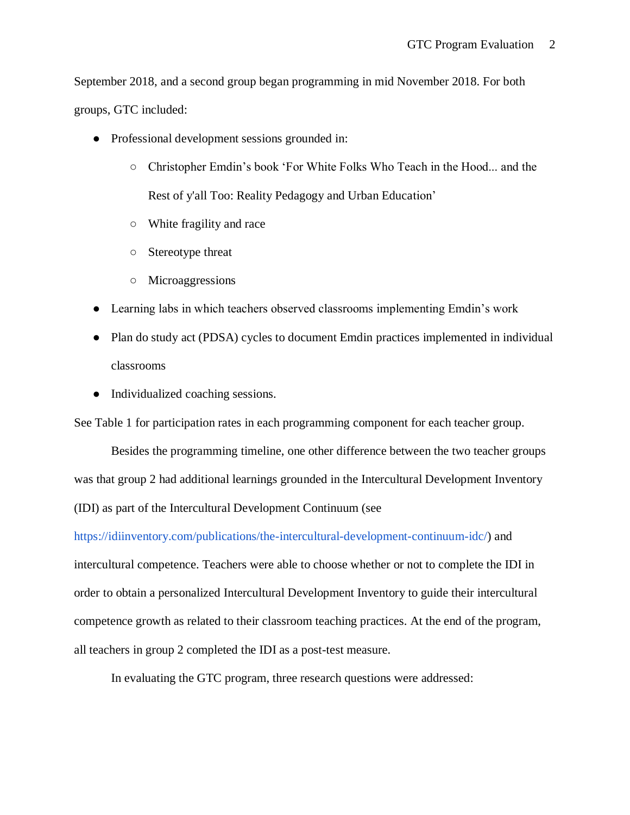September 2018, and a second group began programming in mid November 2018. For both groups, GTC included:

- Professional development sessions grounded in:
	- Christopher Emdin's book 'For White Folks Who Teach in the Hood... and the Rest of y'all Too: Reality Pedagogy and Urban Education'
	- White fragility and race
	- Stereotype threat
	- Microaggressions
- Learning labs in which teachers observed classrooms implementing Emdin's work
- Plan do study act (PDSA) cycles to document Emdin practices implemented in individual classrooms
- Individualized coaching sessions.

See Table 1 for participation rates in each programming component for each teacher group.

Besides the programming timeline, one other difference between the two teacher groups was that group 2 had additional learnings grounded in the Intercultural Development Inventory (IDI) as part of the Intercultural Development Continuum (se[e](https://idiinventory.com/publications/the-intercultural-development-continuum-idc/)

[https://idiinventory.com/publications/the-intercultural-development-continuum-idc/\)](https://idiinventory.com/publications/the-intercultural-development-continuum-idc/) and intercultural competence. Teachers were able to choose whether or not to complete the IDI in order to obtain a personalized Intercultural Development Inventory to guide their intercultural competence growth as related to their classroom teaching practices. At the end of the program, all teachers in group 2 completed the IDI as a post-test measure.

In evaluating the GTC program, three research questions were addressed: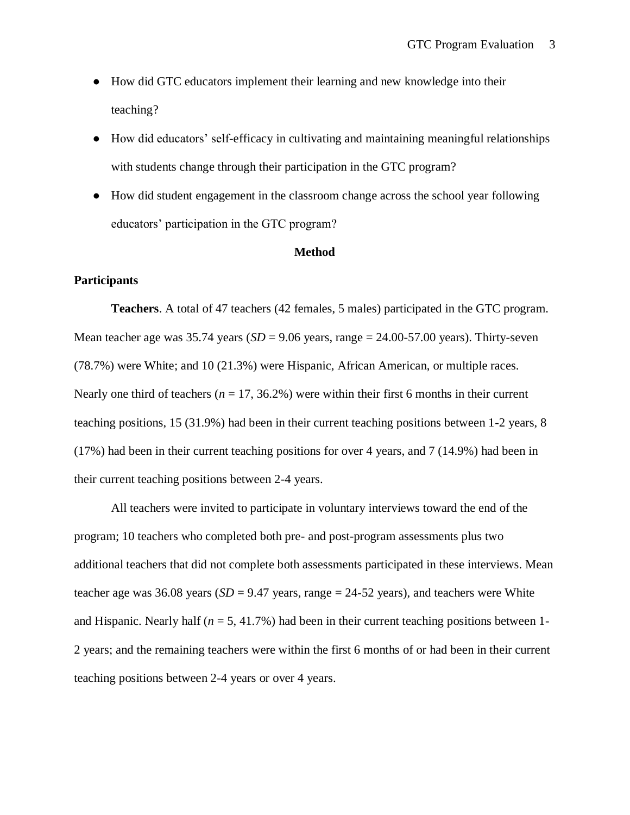- How did GTC educators implement their learning and new knowledge into their teaching?
- How did educators' self-efficacy in cultivating and maintaining meaningful relationships with students change through their participation in the GTC program?
- How did student engagement in the classroom change across the school year following educators' participation in the GTC program?

### **Method**

### **Participants**

**Teachers**. A total of 47 teachers (42 females, 5 males) participated in the GTC program. Mean teacher age was  $35.74$  years  $(SD = 9.06$  years, range  $= 24.00 - 57.00$  years). Thirty-seven (78.7%) were White; and 10 (21.3%) were Hispanic, African American, or multiple races. Nearly one third of teachers ( $n = 17, 36.2\%$ ) were within their first 6 months in their current teaching positions, 15 (31.9%) had been in their current teaching positions between 1-2 years, 8 (17%) had been in their current teaching positions for over 4 years, and 7 (14.9%) had been in their current teaching positions between 2-4 years.

All teachers were invited to participate in voluntary interviews toward the end of the program; 10 teachers who completed both pre- and post-program assessments plus two additional teachers that did not complete both assessments participated in these interviews. Mean teacher age was 36.08 years  $(SD = 9.47$  years, range  $= 24-52$  years), and teachers were White and Hispanic. Nearly half ( $n = 5, 41.7\%$ ) had been in their current teaching positions between 1-2 years; and the remaining teachers were within the first 6 months of or had been in their current teaching positions between 2-4 years or over 4 years.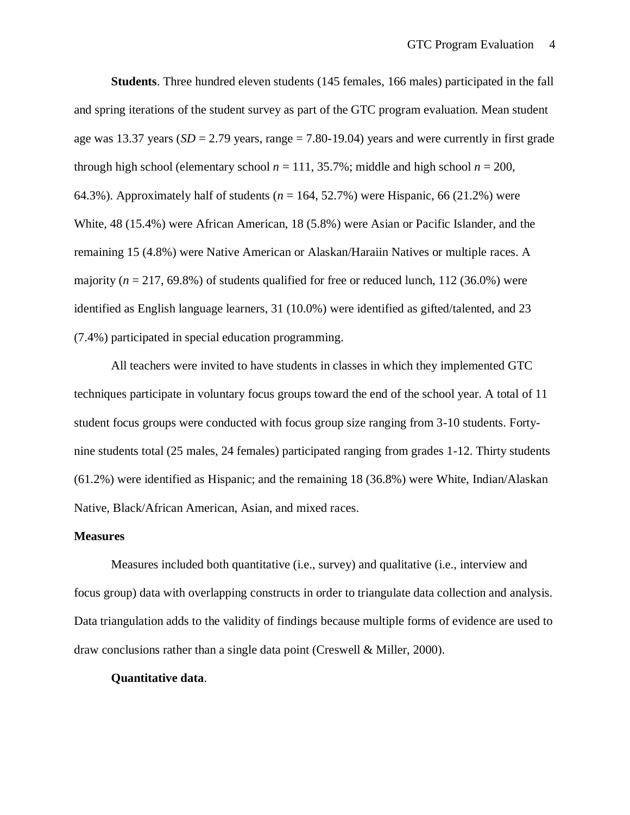**Students**. Three hundred eleven students (145 females, 166 males) participated in the fall and spring iterations of the student survey as part of the GTC program evaluation. Mean student age was 13.37 years (*SD* = 2.79 years, range = 7.80-19.04) years and were currently in first grade through high school (elementary school  $n = 111, 35.7\%$ ; middle and high school  $n = 200$ , 64.3%). Approximately half of students  $(n = 164, 52.7\%)$  were Hispanic, 66 (21.2%) were White, 48 (15.4%) were African American, 18 (5.8%) were Asian or Pacific Islander, and the remaining 15 (4.8%) were Native American or Alaskan/Haraiin Natives or multiple races. A majority  $(n = 217, 69.8\%)$  of students qualified for free or reduced lunch, 112 (36.0%) were identified as English language learners, 31 (10.0%) were identified as gifted/talented, and 23 (7.4%) participated in special education programming.

All teachers were invited to have students in classes in which they implemented GTC techniques participate in voluntary focus groups toward the end of the school year. A total of 11 student focus groups were conducted with focus group size ranging from 3-10 students. Fortynine students total (25 males, 24 females) participated ranging from grades 1-12. Thirty students (61.2%) were identified as Hispanic; and the remaining 18 (36.8%) were White, Indian/Alaskan Native, Black/African American, Asian, and mixed races.

### **Measures**

Measures included both quantitative (i.e., survey) and qualitative (i.e., interview and focus group) data with overlapping constructs in order to triangulate data collection and analysis. Data triangulation adds to the validity of findings because multiple forms of evidence are used to draw conclusions rather than a single data point (Creswell & Miller, 2000).

### **Quantitative data**.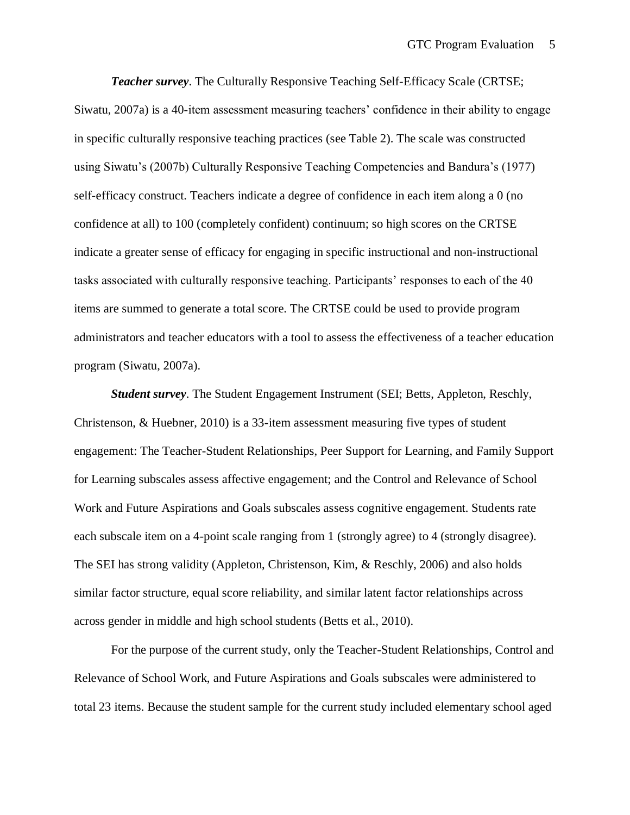*Teacher survey*. The Culturally Responsive Teaching Self-Efficacy Scale (CRTSE; Siwatu, 2007a) is a 40-item assessment measuring teachers' confidence in their ability to engage in specific culturally responsive teaching practices (see Table 2). The scale was constructed using Siwatu's (2007b) Culturally Responsive Teaching Competencies and Bandura's (1977) self-efficacy construct. Teachers indicate a degree of confidence in each item along a 0 (no confidence at all) to 100 (completely confident) continuum; so high scores on the CRTSE indicate a greater sense of efficacy for engaging in specific instructional and non-instructional tasks associated with culturally responsive teaching. Participants' responses to each of the 40 items are summed to generate a total score. The CRTSE could be used to provide program administrators and teacher educators with a tool to assess the effectiveness of a teacher education program (Siwatu, 2007a).

*Student survey*. The Student Engagement Instrument (SEI; Betts, Appleton, Reschly, Christenson, & Huebner, 2010) is a 33-item assessment measuring five types of student engagement: The Teacher-Student Relationships, Peer Support for Learning, and Family Support for Learning subscales assess affective engagement; and the Control and Relevance of School Work and Future Aspirations and Goals subscales assess cognitive engagement. Students rate each subscale item on a 4-point scale ranging from 1 (strongly agree) to 4 (strongly disagree). The SEI has strong validity (Appleton, Christenson, Kim, & Reschly, 2006) and also holds similar factor structure, equal score reliability, and similar latent factor relationships across across gender in middle and high school students (Betts et al., 2010).

For the purpose of the current study, only the Teacher-Student Relationships, Control and Relevance of School Work, and Future Aspirations and Goals subscales were administered to total 23 items. Because the student sample for the current study included elementary school aged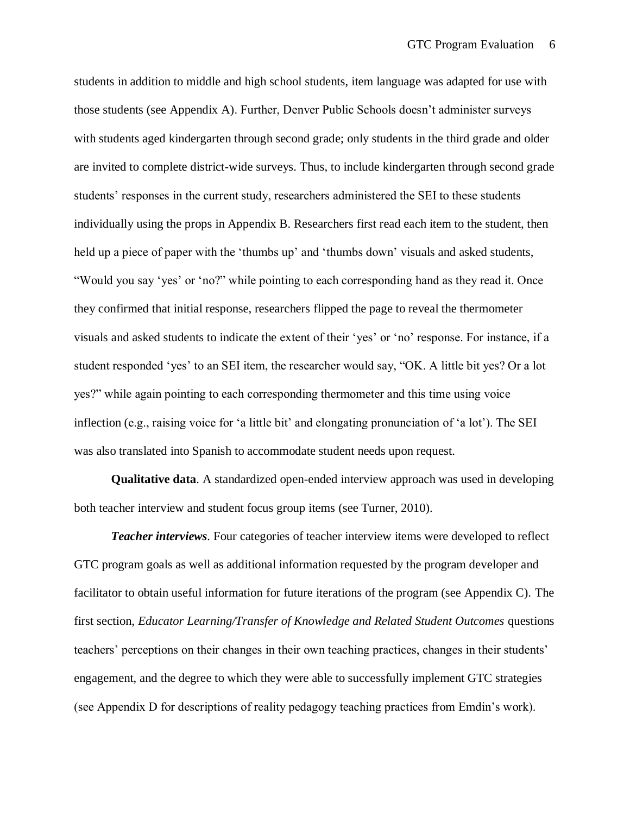students in addition to middle and high school students, item language was adapted for use with those students (see Appendix A). Further, Denver Public Schools doesn't administer surveys with students aged kindergarten through second grade; only students in the third grade and older are invited to complete district-wide surveys. Thus, to include kindergarten through second grade students' responses in the current study, researchers administered the SEI to these students individually using the props in Appendix B. Researchers first read each item to the student, then held up a piece of paper with the 'thumbs up' and 'thumbs down' visuals and asked students, "Would you say 'yes' or 'no?" while pointing to each corresponding hand as they read it. Once they confirmed that initial response, researchers flipped the page to reveal the thermometer visuals and asked students to indicate the extent of their 'yes' or 'no' response. For instance, if a student responded 'yes' to an SEI item, the researcher would say, "OK. A little bit yes? Or a lot yes?" while again pointing to each corresponding thermometer and this time using voice inflection (e.g., raising voice for 'a little bit' and elongating pronunciation of 'a lot'). The SEI was also translated into Spanish to accommodate student needs upon request.

**Qualitative data**. A standardized open-ended interview approach was used in developing both teacher interview and student focus group items (see Turner, 2010).

*Teacher interviews.* Four categories of teacher interview items were developed to reflect GTC program goals as well as additional information requested by the program developer and facilitator to obtain useful information for future iterations of the program (see Appendix C). The first section, *Educator Learning/Transfer of Knowledge and Related Student Outcomes* questions teachers' perceptions on their changes in their own teaching practices, changes in their students' engagement, and the degree to which they were able to successfully implement GTC strategies (see Appendix D for descriptions of reality pedagogy teaching practices from Emdin's work).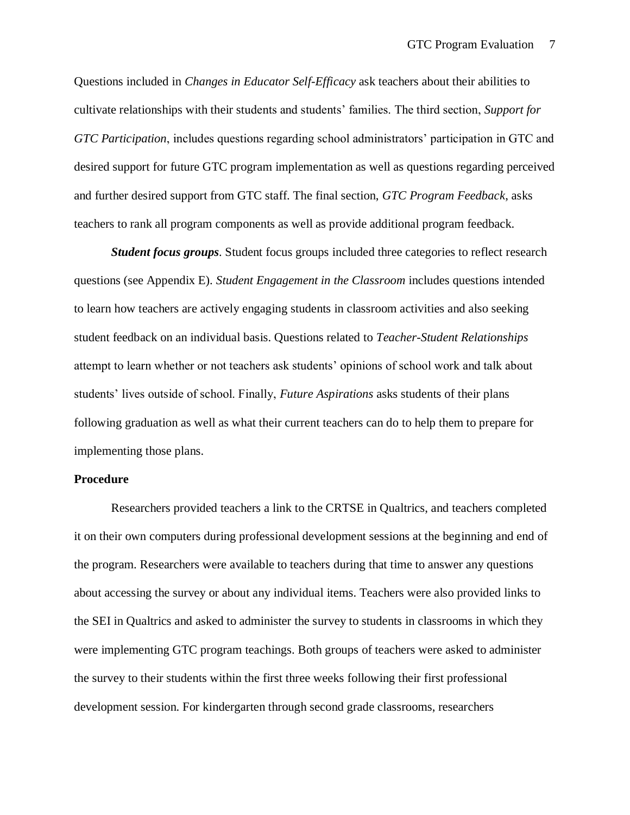Questions included in *Changes in Educator Self-Efficacy* ask teachers about their abilities to cultivate relationships with their students and students' families. The third section, *Support for GTC Participation*, includes questions regarding school administrators' participation in GTC and desired support for future GTC program implementation as well as questions regarding perceived and further desired support from GTC staff. The final section, *GTC Program Feedback*, asks teachers to rank all program components as well as provide additional program feedback.

*Student focus groups.* Student focus groups included three categories to reflect research questions (see Appendix E). *Student Engagement in the Classroom* includes questions intended to learn how teachers are actively engaging students in classroom activities and also seeking student feedback on an individual basis. Questions related to *Teacher-Student Relationships* attempt to learn whether or not teachers ask students' opinions of school work and talk about students' lives outside of school. Finally, *Future Aspirations* asks students of their plans following graduation as well as what their current teachers can do to help them to prepare for implementing those plans.

## **Procedure**

Researchers provided teachers a link to the CRTSE in Qualtrics, and teachers completed it on their own computers during professional development sessions at the beginning and end of the program. Researchers were available to teachers during that time to answer any questions about accessing the survey or about any individual items. Teachers were also provided links to the SEI in Qualtrics and asked to administer the survey to students in classrooms in which they were implementing GTC program teachings. Both groups of teachers were asked to administer the survey to their students within the first three weeks following their first professional development session. For kindergarten through second grade classrooms, researchers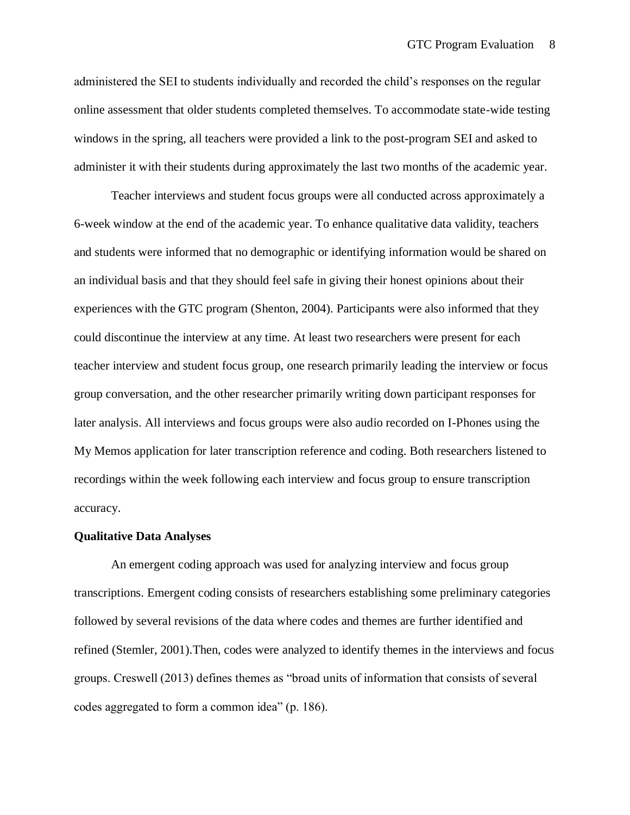administered the SEI to students individually and recorded the child's responses on the regular online assessment that older students completed themselves. To accommodate state-wide testing windows in the spring, all teachers were provided a link to the post-program SEI and asked to administer it with their students during approximately the last two months of the academic year.

Teacher interviews and student focus groups were all conducted across approximately a 6-week window at the end of the academic year. To enhance qualitative data validity, teachers and students were informed that no demographic or identifying information would be shared on an individual basis and that they should feel safe in giving their honest opinions about their experiences with the GTC program (Shenton, 2004). Participants were also informed that they could discontinue the interview at any time. At least two researchers were present for each teacher interview and student focus group, one research primarily leading the interview or focus group conversation, and the other researcher primarily writing down participant responses for later analysis. All interviews and focus groups were also audio recorded on I-Phones using the My Memos application for later transcription reference and coding. Both researchers listened to recordings within the week following each interview and focus group to ensure transcription accuracy.

### **Qualitative Data Analyses**

 An emergent coding approach was used for analyzing interview and focus group transcriptions. Emergent coding consists of researchers establishing some preliminary categories followed by several revisions of the data where codes and themes are further identified and refined (Stemler, 2001).Then, codes were analyzed to identify themes in the interviews and focus groups. Creswell (2013) defines themes as "broad units of information that consists of several codes aggregated to form a common idea" (p. 186).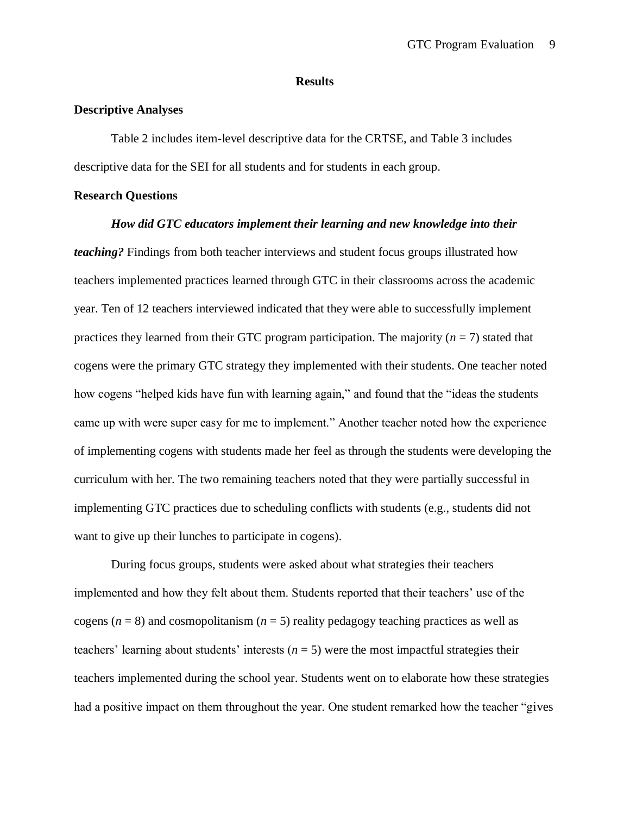### **Results**

### **Descriptive Analyses**

Table 2 includes item-level descriptive data for the CRTSE, and Table 3 includes descriptive data for the SEI for all students and for students in each group.

## **Research Questions**

#### *How did GTC educators implement their learning and new knowledge into their*

*teaching?* Findings from both teacher interviews and student focus groups illustrated how teachers implemented practices learned through GTC in their classrooms across the academic year. Ten of 12 teachers interviewed indicated that they were able to successfully implement practices they learned from their GTC program participation. The majority  $(n = 7)$  stated that cogens were the primary GTC strategy they implemented with their students. One teacher noted how cogens "helped kids have fun with learning again," and found that the "ideas the students came up with were super easy for me to implement." Another teacher noted how the experience of implementing cogens with students made her feel as through the students were developing the curriculum with her. The two remaining teachers noted that they were partially successful in implementing GTC practices due to scheduling conflicts with students (e.g., students did not want to give up their lunches to participate in cogens).

During focus groups, students were asked about what strategies their teachers implemented and how they felt about them. Students reported that their teachers' use of the cogens ( $n = 8$ ) and cosmopolitanism ( $n = 5$ ) reality pedagogy teaching practices as well as teachers' learning about students' interests  $(n = 5)$  were the most impactful strategies their teachers implemented during the school year. Students went on to elaborate how these strategies had a positive impact on them throughout the year. One student remarked how the teacher "gives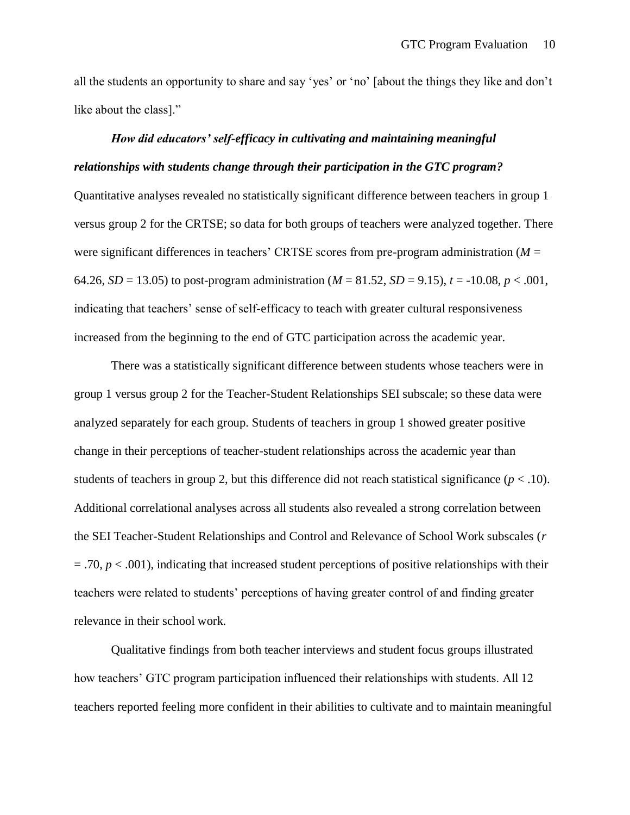all the students an opportunity to share and say 'yes' or 'no' [about the things they like and don't like about the class]."

# *How did educators' self-efficacy in cultivating and maintaining meaningful relationships with students change through their participation in the GTC program?*

Quantitative analyses revealed no statistically significant difference between teachers in group 1 versus group 2 for the CRTSE; so data for both groups of teachers were analyzed together. There were significant differences in teachers' CRTSE scores from pre-program administration (*M* = 64.26, *SD* = 13.05) to post-program administration ( $M = 81.52$ , *SD* = 9.15),  $t = -10.08$ ,  $p < .001$ , indicating that teachers' sense of self-efficacy to teach with greater cultural responsiveness increased from the beginning to the end of GTC participation across the academic year.

There was a statistically significant difference between students whose teachers were in group 1 versus group 2 for the Teacher-Student Relationships SEI subscale; so these data were analyzed separately for each group. Students of teachers in group 1 showed greater positive change in their perceptions of teacher-student relationships across the academic year than students of teachers in group 2, but this difference did not reach statistical significance  $(p < .10)$ . Additional correlational analyses across all students also revealed a strong correlation between the SEI Teacher-Student Relationships and Control and Relevance of School Work subscales (*r*  $=$  .70,  $p < .001$ ), indicating that increased student perceptions of positive relationships with their teachers were related to students' perceptions of having greater control of and finding greater relevance in their school work.

Qualitative findings from both teacher interviews and student focus groups illustrated how teachers' GTC program participation influenced their relationships with students. All 12 teachers reported feeling more confident in their abilities to cultivate and to maintain meaningful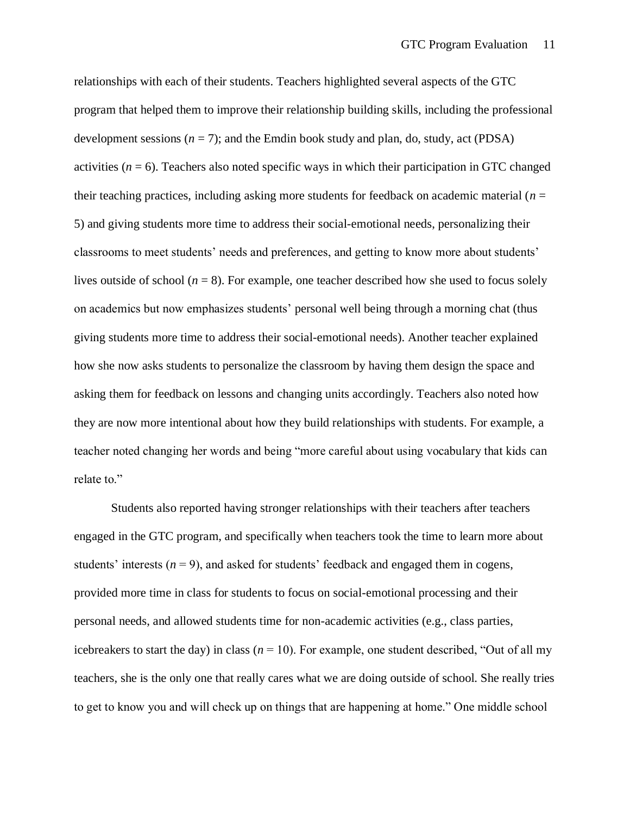relationships with each of their students. Teachers highlighted several aspects of the GTC program that helped them to improve their relationship building skills, including the professional development sessions  $(n = 7)$ ; and the Emdin book study and plan, do, study, act (PDSA) activities  $(n = 6)$ . Teachers also noted specific ways in which their participation in GTC changed their teaching practices, including asking more students for feedback on academic material (*n* = 5) and giving students more time to address their social-emotional needs, personalizing their classrooms to meet students' needs and preferences, and getting to know more about students' lives outside of school  $(n = 8)$ . For example, one teacher described how she used to focus solely on academics but now emphasizes students' personal well being through a morning chat (thus giving students more time to address their social-emotional needs). Another teacher explained how she now asks students to personalize the classroom by having them design the space and asking them for feedback on lessons and changing units accordingly. Teachers also noted how they are now more intentional about how they build relationships with students. For example, a teacher noted changing her words and being "more careful about using vocabulary that kids can relate to."

Students also reported having stronger relationships with their teachers after teachers engaged in the GTC program, and specifically when teachers took the time to learn more about students' interests  $(n = 9)$ , and asked for students' feedback and engaged them in cogens, provided more time in class for students to focus on social-emotional processing and their personal needs, and allowed students time for non-academic activities (e.g., class parties, icebreakers to start the day) in class  $(n = 10)$ . For example, one student described, "Out of all my teachers, she is the only one that really cares what we are doing outside of school. She really tries to get to know you and will check up on things that are happening at home." One middle school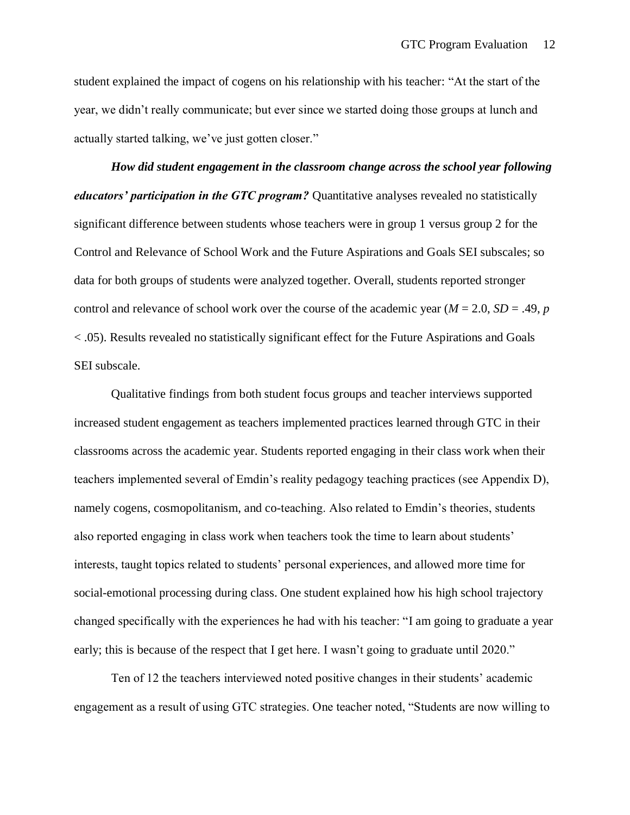student explained the impact of cogens on his relationship with his teacher: "At the start of the year, we didn't really communicate; but ever since we started doing those groups at lunch and actually started talking, we've just gotten closer."

*How did student engagement in the classroom change across the school year following educators' participation in the GTC program?* Quantitative analyses revealed no statistically significant difference between students whose teachers were in group 1 versus group 2 for the Control and Relevance of School Work and the Future Aspirations and Goals SEI subscales; so data for both groups of students were analyzed together. Overall, students reported stronger control and relevance of school work over the course of the academic year ( $M = 2.0$ ,  $SD = .49$ , *p* < .05). Results revealed no statistically significant effect for the Future Aspirations and Goals SEI subscale.

Qualitative findings from both student focus groups and teacher interviews supported increased student engagement as teachers implemented practices learned through GTC in their classrooms across the academic year. Students reported engaging in their class work when their teachers implemented several of Emdin's reality pedagogy teaching practices (see Appendix D), namely cogens, cosmopolitanism, and co-teaching. Also related to Emdin's theories, students also reported engaging in class work when teachers took the time to learn about students' interests, taught topics related to students' personal experiences, and allowed more time for social-emotional processing during class. One student explained how his high school trajectory changed specifically with the experiences he had with his teacher: "I am going to graduate a year early; this is because of the respect that I get here. I wasn't going to graduate until 2020."

Ten of 12 the teachers interviewed noted positive changes in their students' academic engagement as a result of using GTC strategies. One teacher noted, "Students are now willing to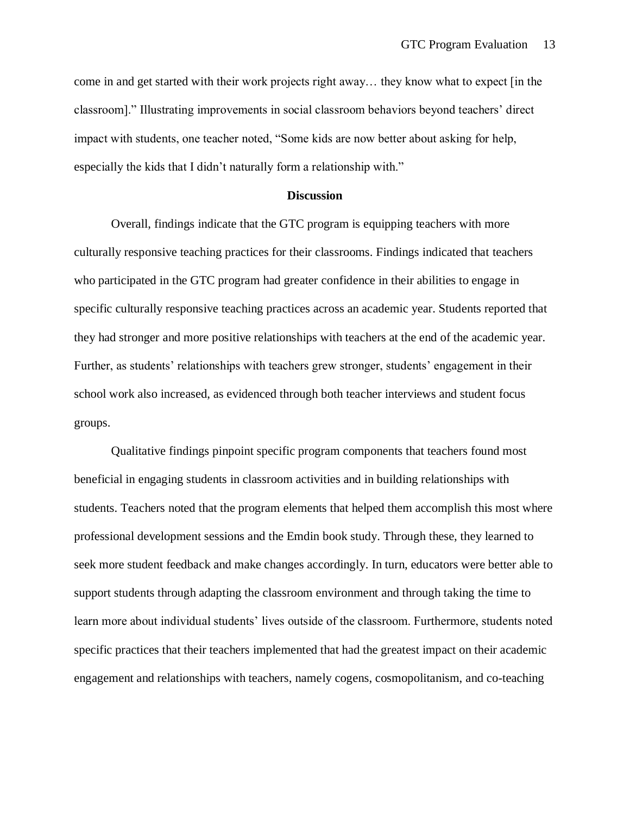come in and get started with their work projects right away… they know what to expect [in the classroom]." Illustrating improvements in social classroom behaviors beyond teachers' direct impact with students, one teacher noted, "Some kids are now better about asking for help, especially the kids that I didn't naturally form a relationship with."

### **Discussion**

Overall, findings indicate that the GTC program is equipping teachers with more culturally responsive teaching practices for their classrooms. Findings indicated that teachers who participated in the GTC program had greater confidence in their abilities to engage in specific culturally responsive teaching practices across an academic year. Students reported that they had stronger and more positive relationships with teachers at the end of the academic year. Further, as students' relationships with teachers grew stronger, students' engagement in their school work also increased, as evidenced through both teacher interviews and student focus groups.

Qualitative findings pinpoint specific program components that teachers found most beneficial in engaging students in classroom activities and in building relationships with students. Teachers noted that the program elements that helped them accomplish this most where professional development sessions and the Emdin book study. Through these, they learned to seek more student feedback and make changes accordingly. In turn, educators were better able to support students through adapting the classroom environment and through taking the time to learn more about individual students' lives outside of the classroom. Furthermore, students noted specific practices that their teachers implemented that had the greatest impact on their academic engagement and relationships with teachers, namely cogens, cosmopolitanism, and co-teaching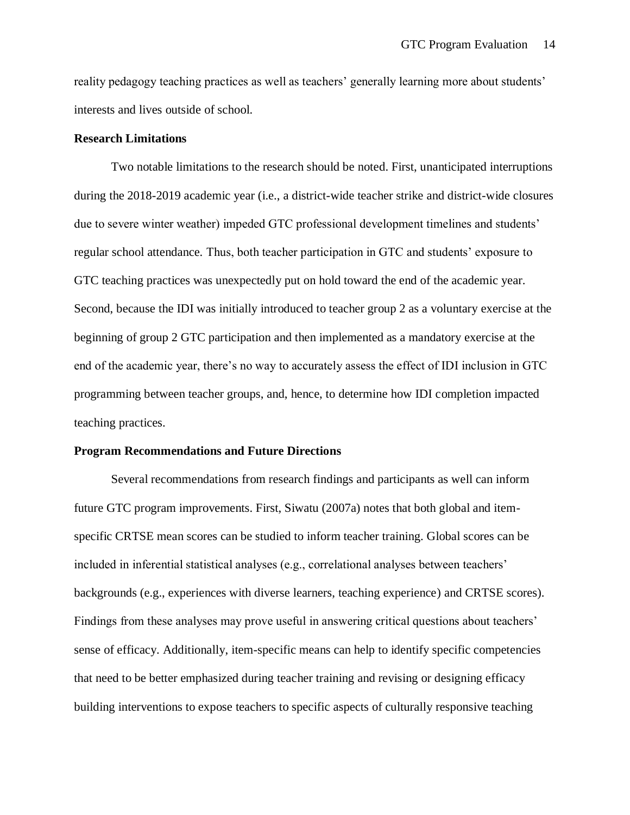reality pedagogy teaching practices as well as teachers' generally learning more about students' interests and lives outside of school.

### **Research Limitations**

Two notable limitations to the research should be noted. First, unanticipated interruptions during the 2018-2019 academic year (i.e., a district-wide teacher strike and district-wide closures due to severe winter weather) impeded GTC professional development timelines and students' regular school attendance. Thus, both teacher participation in GTC and students' exposure to GTC teaching practices was unexpectedly put on hold toward the end of the academic year. Second, because the IDI was initially introduced to teacher group 2 as a voluntary exercise at the beginning of group 2 GTC participation and then implemented as a mandatory exercise at the end of the academic year, there's no way to accurately assess the effect of IDI inclusion in GTC programming between teacher groups, and, hence, to determine how IDI completion impacted teaching practices.

## **Program Recommendations and Future Directions**

Several recommendations from research findings and participants as well can inform future GTC program improvements. First, Siwatu (2007a) notes that both global and itemspecific CRTSE mean scores can be studied to inform teacher training. Global scores can be included in inferential statistical analyses (e.g., correlational analyses between teachers' backgrounds (e.g., experiences with diverse learners, teaching experience) and CRTSE scores). Findings from these analyses may prove useful in answering critical questions about teachers' sense of efficacy. Additionally, item-specific means can help to identify specific competencies that need to be better emphasized during teacher training and revising or designing efficacy building interventions to expose teachers to specific aspects of culturally responsive teaching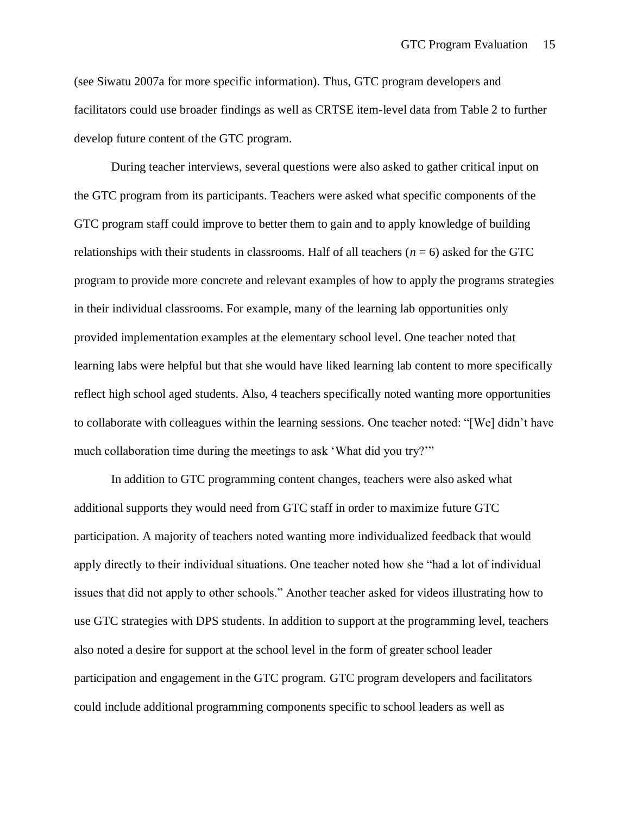(see Siwatu 2007a for more specific information). Thus, GTC program developers and facilitators could use broader findings as well as CRTSE item-level data from Table 2 to further develop future content of the GTC program.

During teacher interviews, several questions were also asked to gather critical input on the GTC program from its participants. Teachers were asked what specific components of the GTC program staff could improve to better them to gain and to apply knowledge of building relationships with their students in classrooms. Half of all teachers (*n* = 6) asked for the GTC program to provide more concrete and relevant examples of how to apply the programs strategies in their individual classrooms. For example, many of the learning lab opportunities only provided implementation examples at the elementary school level. One teacher noted that learning labs were helpful but that she would have liked learning lab content to more specifically reflect high school aged students. Also, 4 teachers specifically noted wanting more opportunities to collaborate with colleagues within the learning sessions. One teacher noted: "[We] didn't have much collaboration time during the meetings to ask 'What did you try?'"

In addition to GTC programming content changes, teachers were also asked what additional supports they would need from GTC staff in order to maximize future GTC participation. A majority of teachers noted wanting more individualized feedback that would apply directly to their individual situations. One teacher noted how she "had a lot of individual issues that did not apply to other schools." Another teacher asked for videos illustrating how to use GTC strategies with DPS students. In addition to support at the programming level, teachers also noted a desire for support at the school level in the form of greater school leader participation and engagement in the GTC program. GTC program developers and facilitators could include additional programming components specific to school leaders as well as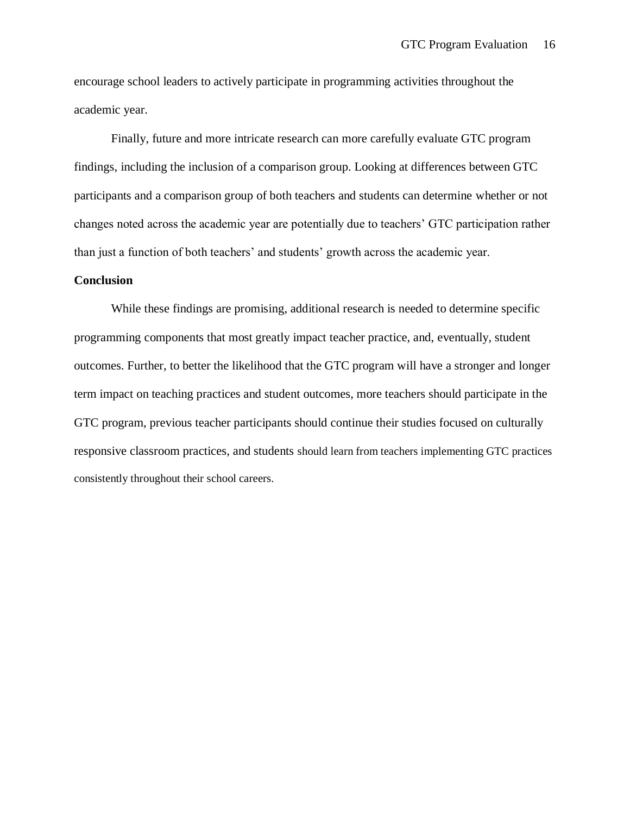encourage school leaders to actively participate in programming activities throughout the academic year.

Finally, future and more intricate research can more carefully evaluate GTC program findings, including the inclusion of a comparison group. Looking at differences between GTC participants and a comparison group of both teachers and students can determine whether or not changes noted across the academic year are potentially due to teachers' GTC participation rather than just a function of both teachers' and students' growth across the academic year.

### **Conclusion**

While these findings are promising, additional research is needed to determine specific programming components that most greatly impact teacher practice, and, eventually, student outcomes. Further, to better the likelihood that the GTC program will have a stronger and longer term impact on teaching practices and student outcomes, more teachers should participate in the GTC program, previous teacher participants should continue their studies focused on culturally responsive classroom practices, and students should learn from teachers implementing GTC practices consistently throughout their school careers.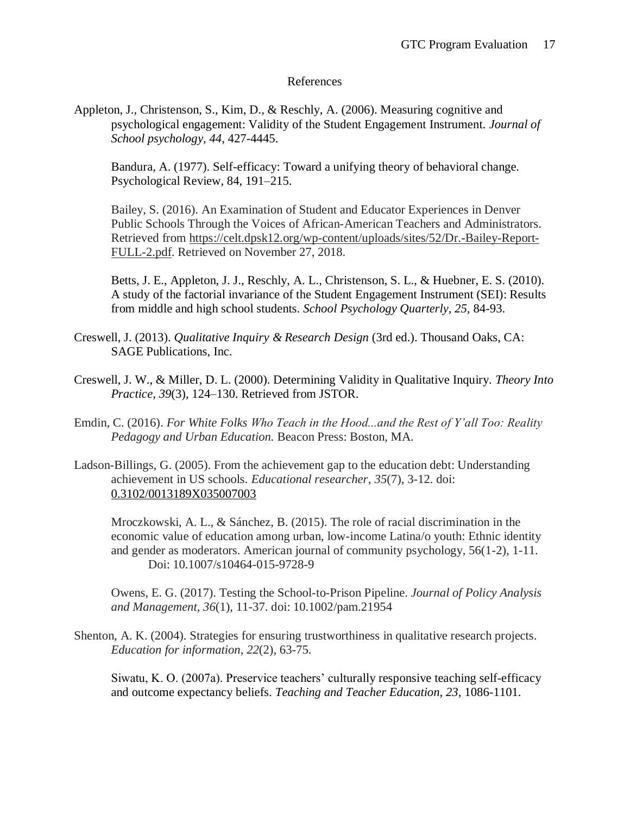## References

Appleton, J., Christenson, S., Kim, D., & Reschly, A. (2006). Measuring cognitive and psychological engagement: Validity of the Student Engagement Instrument. *Journal of School psychology, 44,* 427-4445.

Bandura, A. (1977). Self-efficacy: Toward a unifying theory of behavioral change. Psychological Review, 84, 191–215.

Bailey, S. (2016). An Examination of Student and Educator Experiences in Denver Public Schools Through the Voices of African-American Teachers and Administrators. Retrieved from [https://celt.dpsk12.org/wp-content/uploads/sites/52/Dr.-Bailey-Report-](https://celt.dpsk12.org/wp-content/uploads/sites/52/Dr.-Bailey-Report-FULL-2.pdf)[FULL-2.pdf.](https://celt.dpsk12.org/wp-content/uploads/sites/52/Dr.-Bailey-Report-FULL-2.pdf) Retrieved on November 27, 2018.

Betts, J. E., Appleton, J. J., Reschly, A. L., Christenson, S. L., & Huebner, E. S. (2010). A study of the factorial invariance of the Student Engagement Instrument (SEI): Results from middle and high school students. *School Psychology Quarterly, 25,* 84-93.

- Creswell, J. (2013). *Qualitative Inquiry & Research Design* (3rd ed.). Thousand Oaks, CA: SAGE Publications, Inc.
- Creswell, J. W., & Miller, D. L. (2000). Determining Validity in Qualitative Inquiry. *Theory Into Practice*, *39*(3), 124–130. Retrieved from JSTOR.
- Emdin, C. (2016). *For White Folks Who Teach in the Hood...and the Rest of Y'all Too: Reality Pedagogy and Urban Education.* Beacon Press: Boston, MA.
- Ladson-Billings, G. (2005). From the achievement gap to the education debt: Understanding achievement in US schools. *Educational researcher*, *35*(7), 3-12. doi[:](https://dx.doi.org/10.3102/0013189X035007003) [0.3102/0013189X035007003](https://dx.doi.org/10.3102/0013189X035007003)

Mroczkowski, A. L., & Sánchez, B. (2015). The role of racial discrimination in the economic value of education among urban, low-income Latina/o youth: Ethnic identity and gender as moderators. American journal of community psychology, 56(1-2), 1-11. Doi: 10.1007/s10464-015-9728-9

Owens, E. G. (2017). Testing the School-to-Prison Pipeline. *Journal of Policy Analysis and Management*, *36*(1), 11-37. doi: 10.1002/pam.21954

Shenton, A. K. (2004). Strategies for ensuring trustworthiness in qualitative research projects. *Education for information*, *22*(2), 63-75.

Siwatu, K. O. (2007a). Preservice teachers' culturally responsive teaching self-efficacy and outcome expectancy beliefs. *Teaching and Teacher Education, 23,* 1086-1101.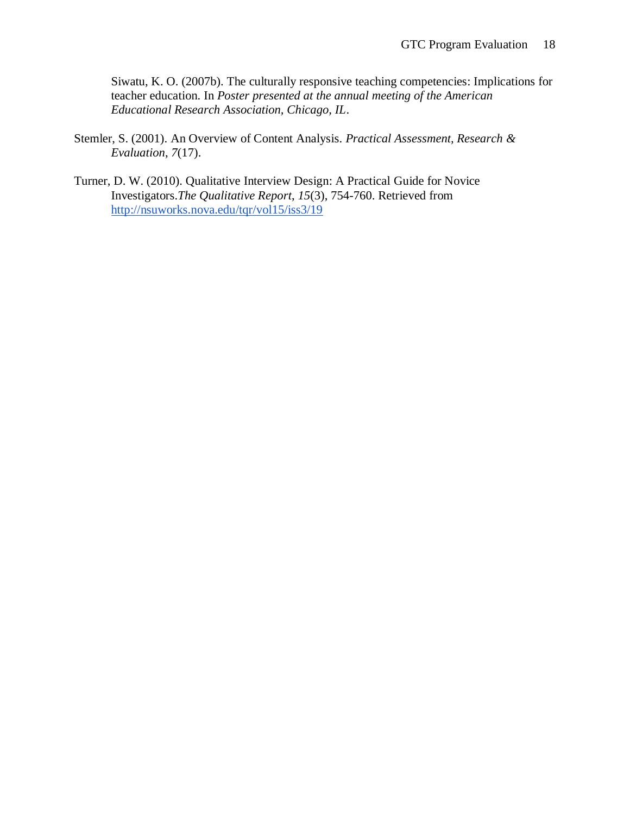Siwatu, K. O. (2007b). The culturally responsive teaching competencies: Implications for teacher education. In *Poster presented at the annual meeting of the American Educational Research Association, Chicago, IL*.

- Stemler, S. (2001). An Overview of Content Analysis. *Practical Assessment, Research & Evaluation*, *7*(17).
- Turner, D. W. (2010). Qualitative Interview Design: A Practical Guide for Novice Investigators.*The Qualitative Report*, *15*(3), 754-760. Retrieved fro[m](http://nsuworks.nova.edu/tqr/vol15/iss3/19) <http://nsuworks.nova.edu/tqr/vol15/iss3/19>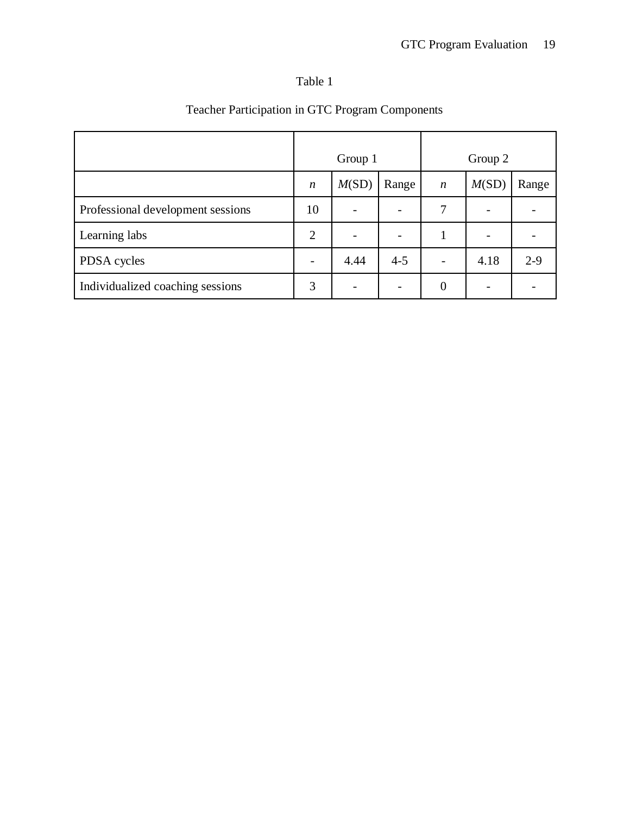# Table 1

|                                   | Group 1          |       | Group 2 |                  |       |         |
|-----------------------------------|------------------|-------|---------|------------------|-------|---------|
|                                   | $\boldsymbol{n}$ | M(SD) | Range   | $\boldsymbol{n}$ | M(SD) | Range   |
| Professional development sessions | 10               |       |         | 7                |       |         |
| Learning labs                     | 2                |       |         |                  |       |         |
| PDSA cycles                       |                  | 4.44  | $4 - 5$ |                  | 4.18  | $2 - 9$ |
| Individualized coaching sessions  | 3                |       |         | $\overline{0}$   |       |         |

# Teacher Participation in GTC Program Components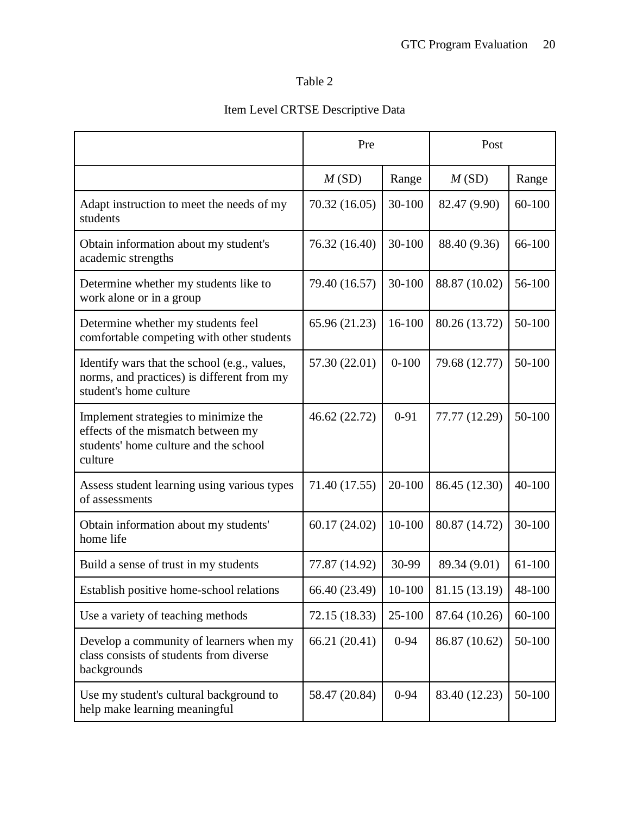# Table 2

# Item Level CRTSE Descriptive Data

|                                                                                                                                | Pre           |           | Post          |        |
|--------------------------------------------------------------------------------------------------------------------------------|---------------|-----------|---------------|--------|
|                                                                                                                                | M(SD)         | Range     | M(SD)         | Range  |
| Adapt instruction to meet the needs of my<br>students                                                                          | 70.32 (16.05) | 30-100    | 82.47 (9.90)  | 60-100 |
| Obtain information about my student's<br>academic strengths                                                                    | 76.32 (16.40) | 30-100    | 88.40 (9.36)  | 66-100 |
| Determine whether my students like to<br>work alone or in a group                                                              | 79.40 (16.57) | 30-100    | 88.87 (10.02) | 56-100 |
| Determine whether my students feel<br>comfortable competing with other students                                                | 65.96 (21.23) | 16-100    | 80.26 (13.72) | 50-100 |
| Identify wars that the school (e.g., values,<br>norms, and practices) is different from my<br>student's home culture           | 57.30 (22.01) | $0 - 100$ | 79.68 (12.77) | 50-100 |
| Implement strategies to minimize the<br>effects of the mismatch between my<br>students' home culture and the school<br>culture | 46.62 (22.72) | $0 - 91$  | 77.77 (12.29) | 50-100 |
| Assess student learning using various types<br>of assessments                                                                  | 71.40 (17.55) | 20-100    | 86.45 (12.30) | 40-100 |
| Obtain information about my students'<br>home life                                                                             | 60.17 (24.02) | 10-100    | 80.87 (14.72) | 30-100 |
| Build a sense of trust in my students                                                                                          | 77.87 (14.92) | 30-99     | 89.34 (9.01)  | 61-100 |
| Establish positive home-school relations                                                                                       | 66.40 (23.49) | 10-100    | 81.15 (13.19) | 48-100 |
| Use a variety of teaching methods                                                                                              | 72.15 (18.33) | 25-100    | 87.64 (10.26) | 60-100 |
| Develop a community of learners when my<br>class consists of students from diverse<br>backgrounds                              | 66.21 (20.41) | $0 - 94$  | 86.87 (10.62) | 50-100 |
| Use my student's cultural background to<br>help make learning meaningful                                                       | 58.47 (20.84) | $0 - 94$  | 83.40 (12.23) | 50-100 |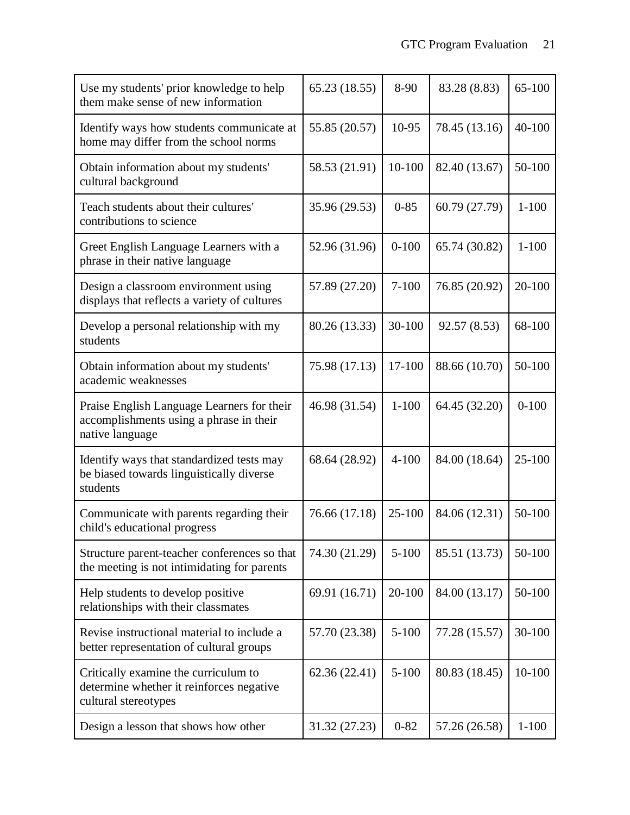| Use my students' prior knowledge to help<br>them make sense of new information                           | 65.23 (18.55) | 8-90      | 83.28 (8.83)  | $65 - 100$ |
|----------------------------------------------------------------------------------------------------------|---------------|-----------|---------------|------------|
| Identify ways how students communicate at<br>home may differ from the school norms                       | 55.85 (20.57) | 10-95     | 78.45 (13.16) | 40-100     |
| Obtain information about my students'<br>cultural background                                             | 58.53 (21.91) | 10-100    | 82.40 (13.67) | 50-100     |
| Teach students about their cultures'<br>contributions to science                                         | 35.96 (29.53) | $0 - 85$  | 60.79 (27.79) | $1 - 100$  |
| Greet English Language Learners with a<br>phrase in their native language                                | 52.96 (31.96) | $0 - 100$ | 65.74 (30.82) | $1 - 100$  |
| Design a classroom environment using<br>displays that reflects a variety of cultures                     | 57.89 (27.20) | $7 - 100$ | 76.85 (20.92) | 20-100     |
| Develop a personal relationship with my<br>students                                                      | 80.26 (13.33) | 30-100    | 92.57 (8.53)  | 68-100     |
| Obtain information about my students'<br>academic weaknesses                                             | 75.98 (17.13) | 17-100    | 88.66 (10.70) | 50-100     |
| Praise English Language Learners for their<br>accomplishments using a phrase in their<br>native language | 46.98 (31.54) | $1 - 100$ | 64.45 (32.20) | $0 - 100$  |
| Identify ways that standardized tests may<br>be biased towards linguistically diverse<br>students        | 68.64 (28.92) | $4 - 100$ | 84.00 (18.64) | $25 - 100$ |
| Communicate with parents regarding their<br>child's educational progress                                 | 76.66 (17.18) | 25-100    | 84.06 (12.31) | 50-100     |
| Structure parent-teacher conferences so that<br>the meeting is not intimidating for parents              | 74.30 (21.29) | $5 - 100$ | 85.51 (13.73) | 50-100     |
| Help students to develop positive<br>relationships with their classmates                                 | 69.91 (16.71) | 20-100    | 84.00 (13.17) | 50-100     |
| Revise instructional material to include a<br>better representation of cultural groups                   | 57.70 (23.38) | $5 - 100$ | 77.28 (15.57) | 30-100     |
| Critically examine the curriculum to<br>determine whether it reinforces negative<br>cultural stereotypes | 62.36 (22.41) | $5 - 100$ | 80.83 (18.45) | 10-100     |
| Design a lesson that shows how other                                                                     | 31.32 (27.23) | $0 - 82$  | 57.26 (26.58) | $1 - 100$  |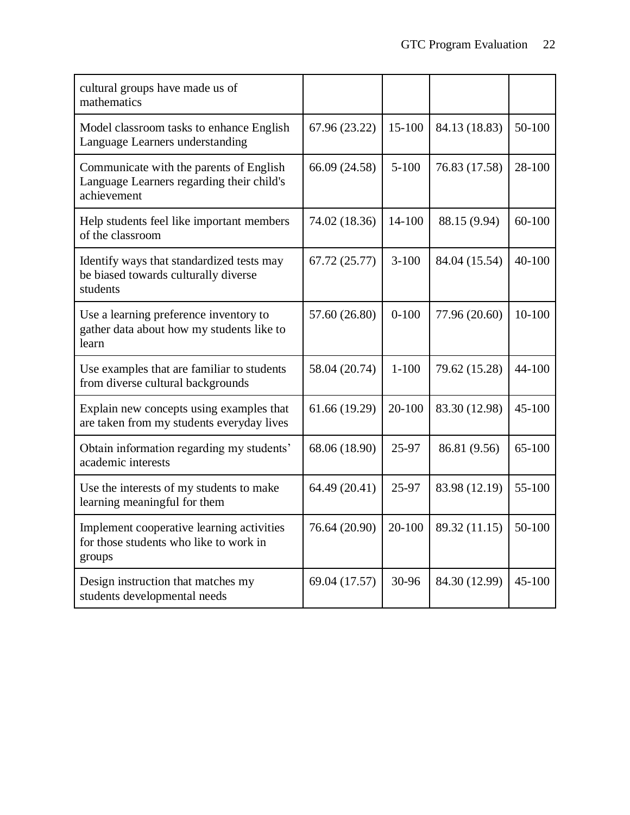| cultural groups have made us of<br>mathematics                                                      |               |           |               |            |
|-----------------------------------------------------------------------------------------------------|---------------|-----------|---------------|------------|
| Model classroom tasks to enhance English<br>Language Learners understanding                         | 67.96 (23.22) | 15-100    | 84.13 (18.83) | 50-100     |
| Communicate with the parents of English<br>Language Learners regarding their child's<br>achievement | 66.09 (24.58) | $5 - 100$ | 76.83 (17.58) | 28-100     |
| Help students feel like important members<br>of the classroom                                       | 74.02 (18.36) | 14-100    | 88.15 (9.94)  | $60 - 100$ |
| Identify ways that standardized tests may<br>be biased towards culturally diverse<br>students       | 67.72 (25.77) | $3 - 100$ | 84.04 (15.54) | 40-100     |
| Use a learning preference inventory to<br>gather data about how my students like to<br>learn        | 57.60 (26.80) | $0 - 100$ | 77.96 (20.60) | 10-100     |
| Use examples that are familiar to students<br>from diverse cultural backgrounds                     | 58.04 (20.74) | $1 - 100$ | 79.62 (15.28) | 44-100     |
| Explain new concepts using examples that<br>are taken from my students everyday lives               | 61.66 (19.29) | 20-100    | 83.30 (12.98) | 45-100     |
| Obtain information regarding my students'<br>academic interests                                     | 68.06 (18.90) | 25-97     | 86.81 (9.56)  | $65 - 100$ |
| Use the interests of my students to make<br>learning meaningful for them                            | 64.49 (20.41) | 25-97     | 83.98 (12.19) | 55-100     |
| Implement cooperative learning activities<br>for those students who like to work in<br>groups       | 76.64 (20.90) | 20-100    | 89.32 (11.15) | 50-100     |
| Design instruction that matches my<br>students developmental needs                                  | 69.04 (17.57) | 30-96     | 84.30 (12.99) | 45-100     |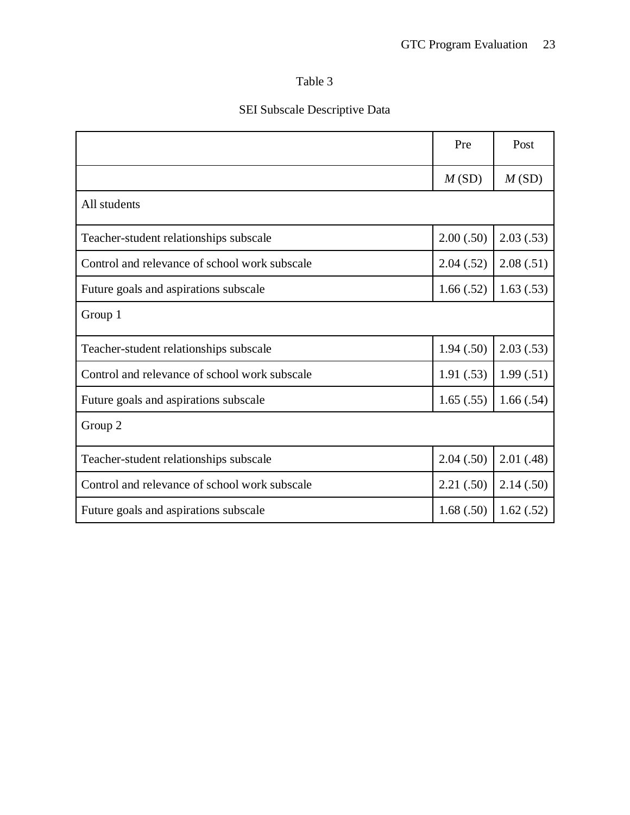# Table 3

# SEI Subscale Descriptive Data

|                                               | Pre       | Post       |  |  |
|-----------------------------------------------|-----------|------------|--|--|
|                                               | M(SD)     | M(SD)      |  |  |
| All students                                  |           |            |  |  |
| Teacher-student relationships subscale        | 2.00(.50) | 2.03(0.53) |  |  |
| Control and relevance of school work subscale | 2.04(.52) | 2.08(.51)  |  |  |
| Future goals and aspirations subscale         | 1.66(.52) | 1.63(0.53) |  |  |
| Group 1                                       |           |            |  |  |
| Teacher-student relationships subscale        | 1.94(.50) | 2.03(.53)  |  |  |
| Control and relevance of school work subscale | 1.91(.53) | 1.99(.51)  |  |  |
| Future goals and aspirations subscale         | 1.65(.55) | 1.66(.54)  |  |  |
| Group 2                                       |           |            |  |  |
| Teacher-student relationships subscale        | 2.04(.50) | 2.01(0.48) |  |  |
| Control and relevance of school work subscale | 2.21(.50) | 2.14(.50)  |  |  |
| Future goals and aspirations subscale         | 1.68(.50) | 1.62(.52)  |  |  |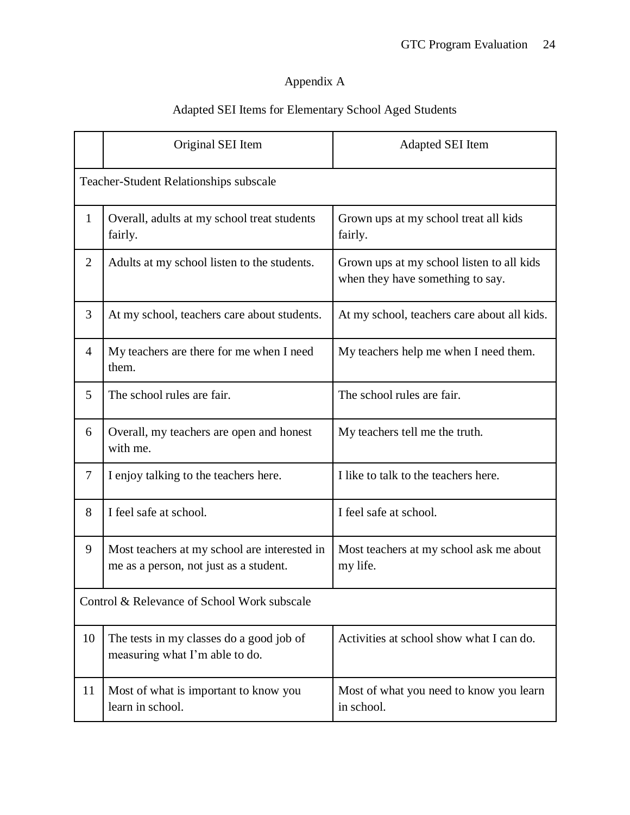# Appendix A

# Adapted SEI Items for Elementary School Aged Students

|                                               | Original SEI Item                                                                      | Adapted SEI Item                                                              |  |  |
|-----------------------------------------------|----------------------------------------------------------------------------------------|-------------------------------------------------------------------------------|--|--|
| <b>Teacher-Student Relationships subscale</b> |                                                                                        |                                                                               |  |  |
| $\mathbf{1}$                                  | Overall, adults at my school treat students<br>fairly.                                 | Grown ups at my school treat all kids<br>fairly.                              |  |  |
| $\overline{2}$                                | Adults at my school listen to the students.                                            | Grown ups at my school listen to all kids<br>when they have something to say. |  |  |
| $\overline{3}$                                | At my school, teachers care about students.                                            | At my school, teachers care about all kids.                                   |  |  |
| $\overline{4}$                                | My teachers are there for me when I need<br>them.                                      | My teachers help me when I need them.                                         |  |  |
| 5                                             | The school rules are fair.                                                             | The school rules are fair.                                                    |  |  |
| 6                                             | Overall, my teachers are open and honest<br>with me.                                   | My teachers tell me the truth.                                                |  |  |
| $\overline{7}$                                | I enjoy talking to the teachers here.                                                  | I like to talk to the teachers here.                                          |  |  |
| 8                                             | I feel safe at school.                                                                 | I feel safe at school.                                                        |  |  |
| 9                                             | Most teachers at my school are interested in<br>me as a person, not just as a student. | Most teachers at my school ask me about<br>my life.                           |  |  |
| Control & Relevance of School Work subscale   |                                                                                        |                                                                               |  |  |
| 10                                            | The tests in my classes do a good job of<br>measuring what I'm able to do.             | Activities at school show what I can do.                                      |  |  |
| 11                                            | Most of what is important to know you<br>learn in school.                              | Most of what you need to know you learn<br>in school.                         |  |  |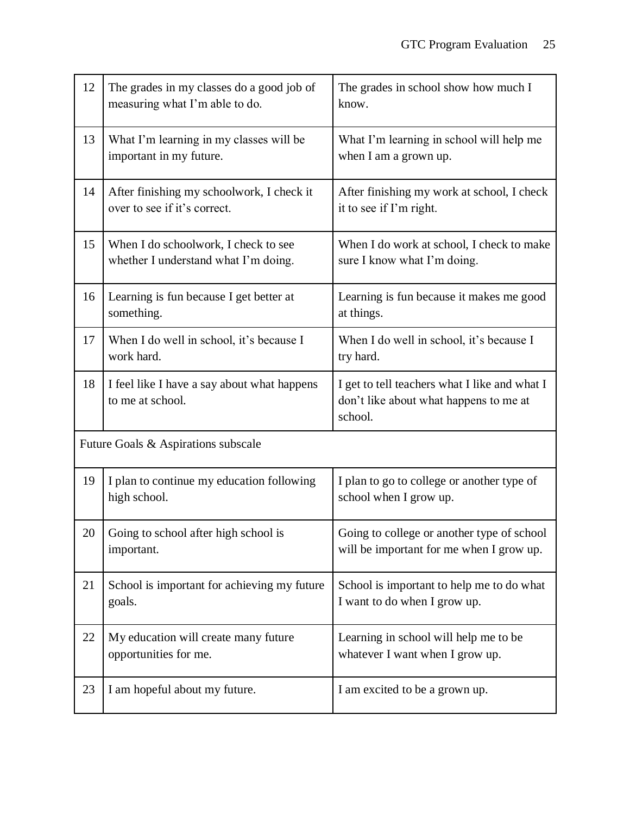| 12 | The grades in my classes do a good job of<br>measuring what I'm able to do.  | The grades in school show how much I<br>know.                                                      |
|----|------------------------------------------------------------------------------|----------------------------------------------------------------------------------------------------|
| 13 | What I'm learning in my classes will be<br>important in my future.           | What I'm learning in school will help me<br>when I am a grown up.                                  |
| 14 | After finishing my schoolwork, I check it<br>over to see if it's correct.    | After finishing my work at school, I check<br>it to see if I'm right.                              |
| 15 | When I do schoolwork, I check to see<br>whether I understand what I'm doing. | When I do work at school, I check to make<br>sure I know what I'm doing.                           |
| 16 | Learning is fun because I get better at<br>something.                        | Learning is fun because it makes me good<br>at things.                                             |
| 17 | When I do well in school, it's because I<br>work hard.                       | When I do well in school, it's because I<br>try hard.                                              |
| 18 | I feel like I have a say about what happens<br>to me at school.              | I get to tell teachers what I like and what I<br>don't like about what happens to me at<br>school. |
|    | Future Goals & Aspirations subscale                                          |                                                                                                    |
| 19 | I plan to continue my education following<br>high school.                    | I plan to go to college or another type of<br>school when I grow up.                               |
| 20 | Going to school after high school is<br>important.                           | Going to college or another type of school<br>will be important for me when I grow up.             |
| 21 | School is important for achieving my future<br>goals.                        | School is important to help me to do what<br>I want to do when I grow up.                          |
| 22 | My education will create many future<br>opportunities for me.                | Learning in school will help me to be<br>whatever I want when I grow up.                           |
| 23 | I am hopeful about my future.                                                | I am excited to be a grown up.                                                                     |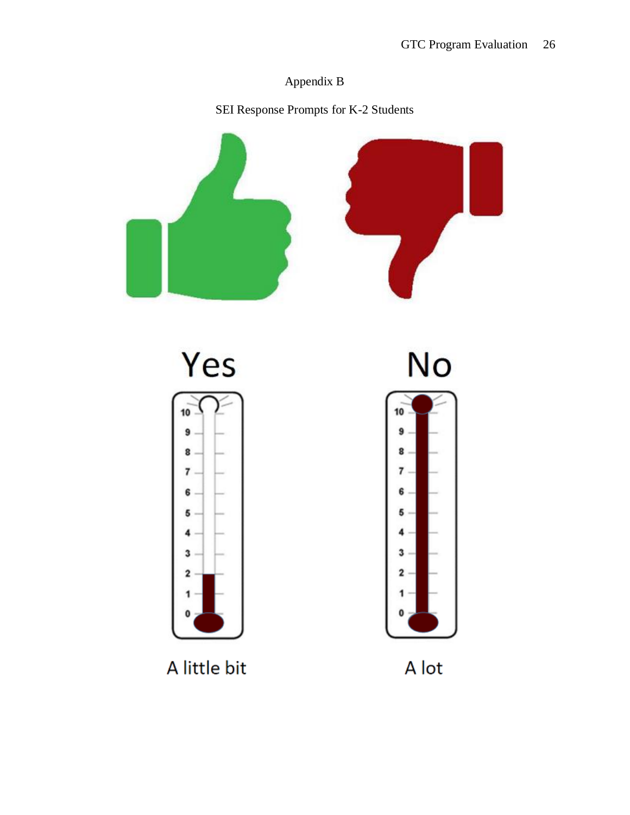# Appendix B

SEI Response Prompts for K-2 Students



A little bit

A lot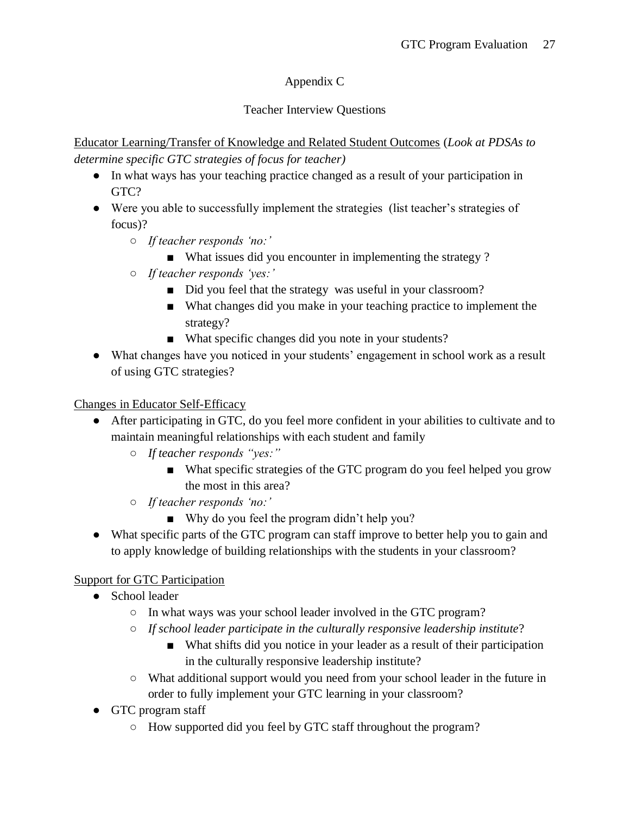# Appendix C

# Teacher Interview Questions

Educator Learning/Transfer of Knowledge and Related Student Outcomes (*Look at PDSAs to determine specific GTC strategies of focus for teacher)*

- In what ways has your teaching practice changed as a result of your participation in GTC?
- Were you able to successfully implement the strategies (list teacher's strategies of focus)?
	- *If teacher responds 'no:'*
		- What issues did you encounter in implementing the strategy ?
	- *If teacher responds 'yes:'*
		- Did you feel that the strategy was useful in your classroom?
		- What changes did you make in your teaching practice to implement the strategy?
		- What specific changes did you note in your students?
- What changes have you noticed in your students' engagement in school work as a result of using GTC strategies?

# Changes in Educator Self-Efficacy

- After participating in GTC, do you feel more confident in your abilities to cultivate and to maintain meaningful relationships with each student and family
	- *If teacher responds "yes:"*
		- What specific strategies of the GTC program do you feel helped you grow the most in this area?
	- *If teacher responds 'no:'*
		- Why do you feel the program didn't help you?
- What specific parts of the GTC program can staff improve to better help you to gain and to apply knowledge of building relationships with the students in your classroom?

# Support for GTC Participation

- School leader
	- In what ways was your school leader involved in the GTC program?
	- *If school leader participate in the culturally responsive leadership institute*?
		- What shifts did you notice in your leader as a result of their participation in the culturally responsive leadership institute?
	- What additional support would you need from your school leader in the future in order to fully implement your GTC learning in your classroom?
- GTC program staff
	- How supported did you feel by GTC staff throughout the program?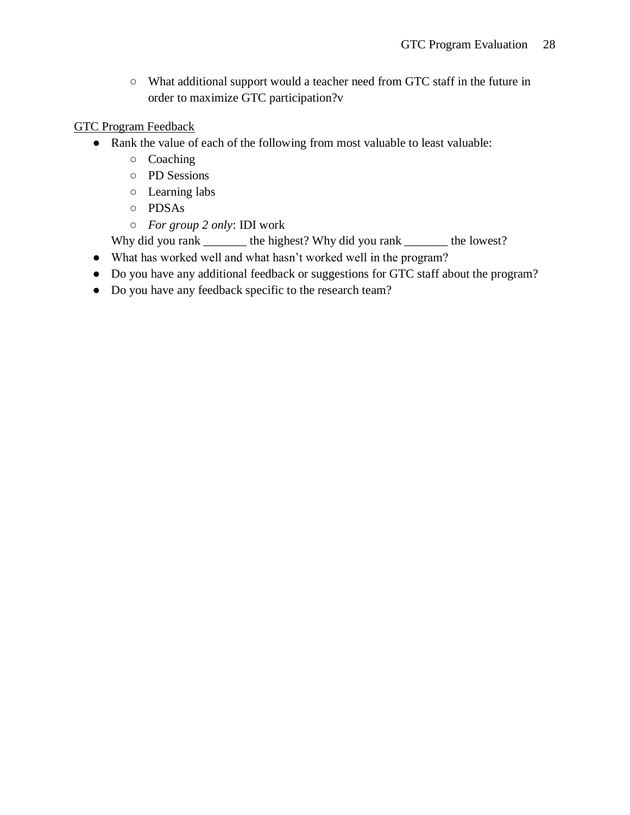○ What additional support would a teacher need from GTC staff in the future in order to maximize GTC participation?v

## GTC Program Feedback

- Rank the value of each of the following from most valuable to least valuable:
	- Coaching
	- PD Sessions
	- Learning labs
	- PDSAs
	- *For group 2 only*: IDI work

Why did you rank \_\_\_\_\_\_\_\_ the highest? Why did you rank \_\_\_\_\_\_\_\_ the lowest?

- What has worked well and what hasn't worked well in the program?
- Do you have any additional feedback or suggestions for GTC staff about the program?
- Do you have any feedback specific to the research team?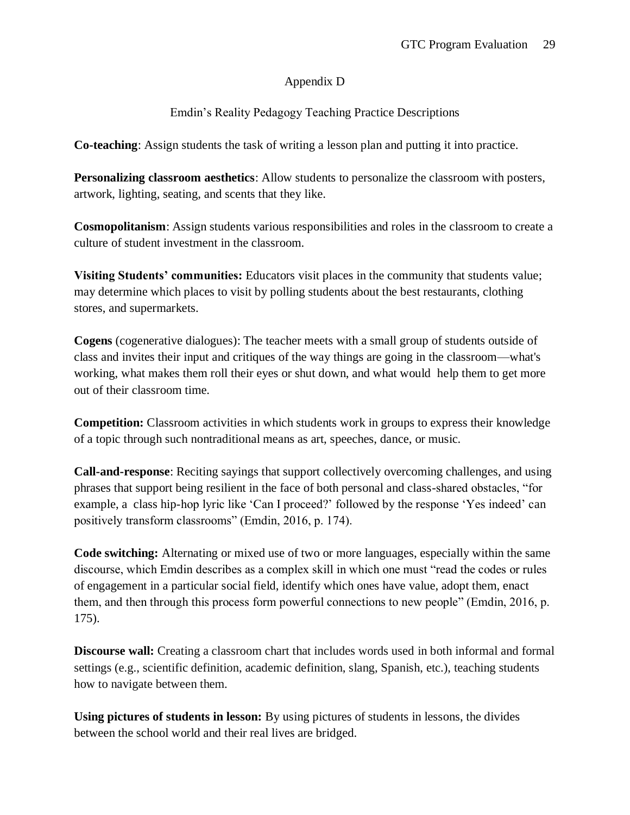# Appendix D

# Emdin's Reality Pedagogy Teaching Practice Descriptions

**Co-teaching**: Assign students the task of writing a lesson plan and putting it into practice.

**Personalizing classroom aesthetics**: Allow students to personalize the classroom with posters, artwork, lighting, seating, and scents that they like.

**Cosmopolitanism**: Assign students various responsibilities and roles in the classroom to create a culture of student investment in the classroom.

**Visiting Students' communities:** Educators visit places in the community that students value; may determine which places to visit by polling students about the best restaurants, clothing stores, and supermarkets.

**Cogens** (cogenerative dialogues): The teacher meets with a small group of students outside of class and invites their input and critiques of the way things are going in the classroom—what's working, what makes them roll their eyes or shut down, and what would help them to get more out of their classroom time.

**Competition:** Classroom activities in which students work in groups to express their knowledge of a topic through such nontraditional means as art, speeches, dance, or music.

**Call-and-response**: Reciting sayings that support collectively overcoming challenges, and using phrases that support being resilient in the face of both personal and class-shared obstacles, "for example, a class hip-hop lyric like 'Can I proceed?' followed by the response 'Yes indeed' can positively transform classrooms" (Emdin, 2016, p. 174).

**Code switching:** Alternating or mixed use of two or more languages, especially within the same discourse, which Emdin describes as a complex skill in which one must "read the codes or rules of engagement in a particular social field, identify which ones have value, adopt them, enact them, and then through this process form powerful connections to new people" (Emdin, 2016, p. 175).

**Discourse wall:** Creating a classroom chart that includes words used in both informal and formal settings (e.g., scientific definition, academic definition, slang, Spanish, etc.), teaching students how to navigate between them.

**Using pictures of students in lesson:** By using pictures of students in lessons, the divides between the school world and their real lives are bridged.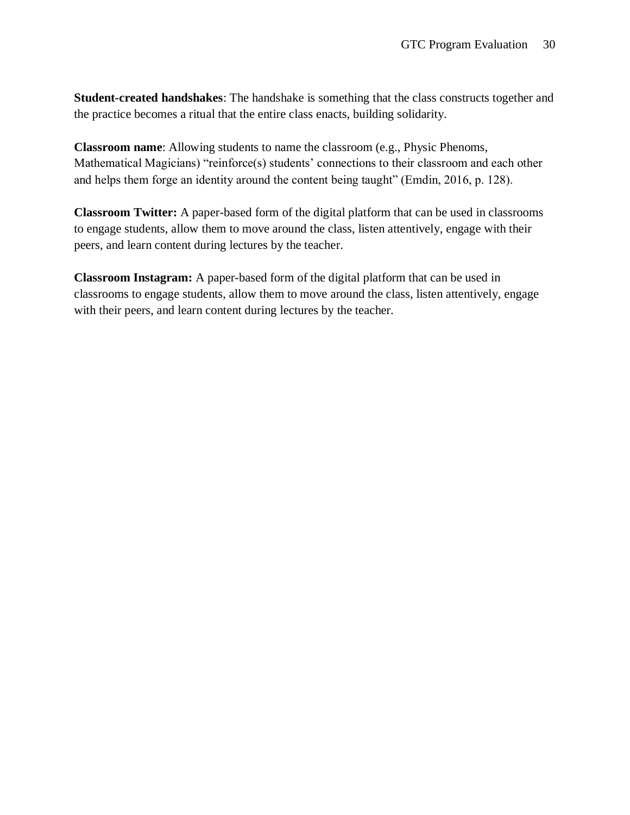**Student-created handshakes**: The handshake is something that the class constructs together and the practice becomes a ritual that the entire class enacts, building solidarity.

**Classroom name**: Allowing students to name the classroom (e.g., Physic Phenoms, Mathematical Magicians) "reinforce(s) students' connections to their classroom and each other and helps them forge an identity around the content being taught" (Emdin, 2016, p. 128).

**Classroom Twitter:** A paper-based form of the digital platform that can be used in classrooms to engage students, allow them to move around the class, listen attentively, engage with their peers, and learn content during lectures by the teacher.

**Classroom Instagram:** A paper-based form of the digital platform that can be used in classrooms to engage students, allow them to move around the class, listen attentively, engage with their peers, and learn content during lectures by the teacher.